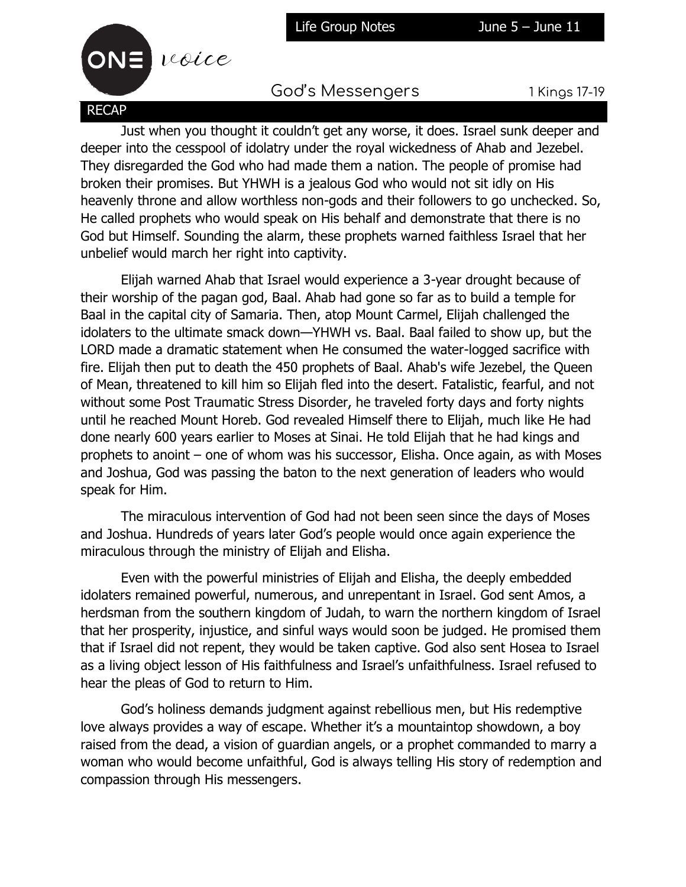



God's Messengers 1 Kings 17-19

Just when you thought it couldn't get any worse, it does. Israel sunk deeper and deeper into the cesspool of idolatry under the royal wickedness of Ahab and Jezebel. They disregarded the God who had made them a nation. The people of promise had broken their promises. But YHWH is a jealous God who would not sit idly on His heavenly throne and allow worthless non-gods and their followers to go unchecked. So, He called prophets who would speak on His behalf and demonstrate that there is no God but Himself. Sounding the alarm, these prophets warned faithless Israel that her unbelief would march her right into captivity.

Elijah warned Ahab that Israel would experience a 3-year drought because of their worship of the pagan god, Baal. Ahab had gone so far as to build a temple for Baal in the capital city of Samaria. Then, atop Mount Carmel, Elijah challenged the idolaters to the ultimate smack down—YHWH vs. Baal. Baal failed to show up, but the LORD made a dramatic statement when He consumed the water-logged sacrifice with fire. Elijah then put to death the 450 prophets of Baal. Ahab's wife Jezebel, the Queen of Mean, threatened to kill him so Elijah fled into the desert. Fatalistic, fearful, and not without some Post Traumatic Stress Disorder, he traveled forty days and forty nights until he reached Mount Horeb. God revealed Himself there to Elijah, much like He had done nearly 600 years earlier to Moses at Sinai. He told Elijah that he had kings and prophets to anoint – one of whom was his successor, Elisha. Once again, as with Moses and Joshua, God was passing the baton to the next generation of leaders who would speak for Him.

The miraculous intervention of God had not been seen since the days of Moses and Joshua. Hundreds of years later God's people would once again experience the miraculous through the ministry of Elijah and Elisha.

Even with the powerful ministries of Elijah and Elisha, the deeply embedded idolaters remained powerful, numerous, and unrepentant in Israel. God sent Amos, a herdsman from the southern kingdom of Judah, to warn the northern kingdom of Israel that her prosperity, injustice, and sinful ways would soon be judged. He promised them that if Israel did not repent, they would be taken captive. God also sent Hosea to Israel as a living object lesson of His faithfulness and Israel's unfaithfulness. Israel refused to hear the pleas of God to return to Him.

God's holiness demands judgment against rebellious men, but His redemptive love always provides a way of escape. Whether it's a mountaintop showdown, a boy raised from the dead, a vision of guardian angels, or a prophet commanded to marry a woman who would become unfaithful, God is always telling His story of redemption and compassion through His messengers.